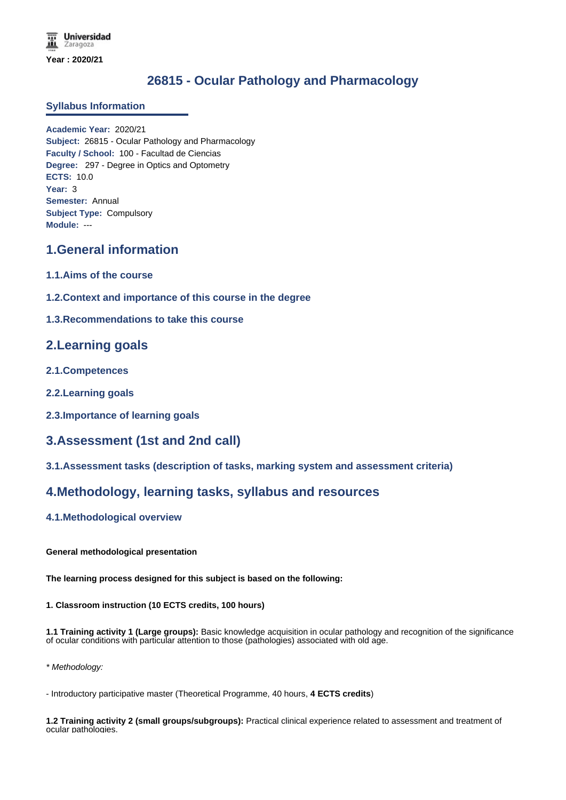# **26815 - Ocular Pathology and Pharmacology**

### **Syllabus Information**

**Academic Year:** 2020/21 **Subject:** 26815 - Ocular Pathology and Pharmacology **Faculty / School:** 100 - Facultad de Ciencias **Degree:** 297 - Degree in Optics and Optometry **ECTS:** 10.0 **Year:** 3 **Semester:** Annual **Subject Type:** Compulsory **Module:** ---

# **1.General information**

- **1.1.Aims of the course**
- **1.2.Context and importance of this course in the degree**
- **1.3.Recommendations to take this course**

# **2.Learning goals**

- **2.1.Competences**
- **2.2.Learning goals**
- **2.3.Importance of learning goals**

# **3.Assessment (1st and 2nd call)**

**3.1.Assessment tasks (description of tasks, marking system and assessment criteria)**

# **4.Methodology, learning tasks, syllabus and resources**

### **4.1.Methodological overview**

### **General methodological presentation**

**The learning process designed for this subject is based on the following:**

### **1. Classroom instruction (10 ECTS credits, 100 hours)**

**1.1 Training activity 1 (Large groups):** Basic knowledge acquisition in ocular pathology and recognition of the significance of ocular conditions with particular attention to those (pathologies) associated with old age.

*\* Methodology:*

- Introductory participative master (Theoretical Programme, 40 hours, **4 ECTS credits**)

**1.2 Training activity 2 (small groups/subgroups):** Practical clinical experience related to assessment and treatment of ocular pathologies.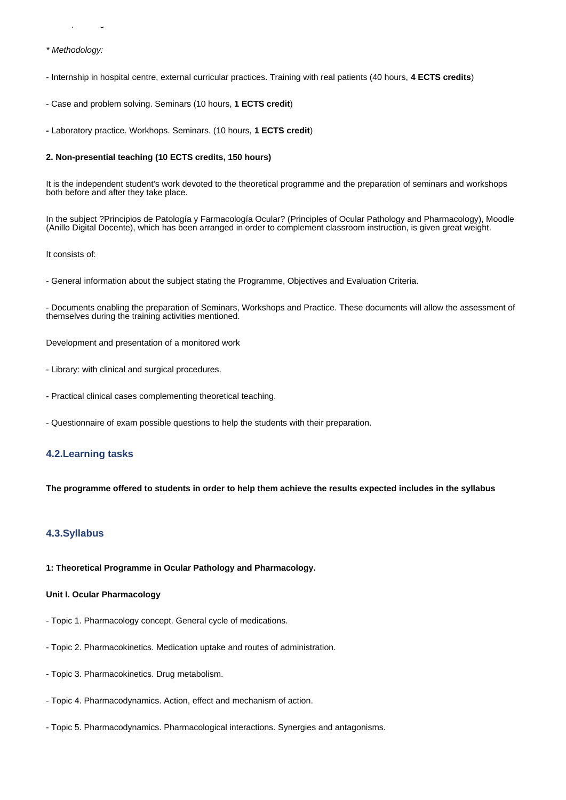*\* Methodology:*

- Internship in hospital centre, external curricular practices. Training with real patients (40 hours, **4 ECTS credits**)

- Case and problem solving. Seminars (10 hours, **1 ECTS credit**)

**-** Laboratory practice. Workhops. Seminars. (10 hours, **1 ECTS credit**)

#### **2. Non-presential teaching (10 ECTS credits, 150 hours)**

It is the independent student's work devoted to the theoretical programme and the preparation of seminars and workshops both before and after they take place.

In the subject ?Principios de Patología y Farmacología Ocular? (Principles of Ocular Pathology and Pharmacology), Moodle (Anillo Digital Docente), which has been arranged in order to complement classroom instruction, is given great weight.

It consists of:

- General information about the subject stating the Programme, Objectives and Evaluation Criteria.

- Documents enabling the preparation of Seminars, Workshops and Practice. These documents will allow the assessment of themselves during the training activities mentioned.

Development and presentation of a monitored work

- Library: with clinical and surgical procedures.
- Practical clinical cases complementing theoretical teaching.
- Questionnaire of exam possible questions to help the students with their preparation.

#### **4.2.Learning tasks**

**The programme offered to students in order to help them achieve the results expected includes in the syllabus**

#### **4.3.Syllabus**

**1: Theoretical Programme in Ocular Pathology and Pharmacology.**

#### **Unit I. Ocular Pharmacology**

- Topic 1. Pharmacology concept. General cycle of medications.
- Topic 2. Pharmacokinetics. Medication uptake and routes of administration.
- Topic 3. Pharmacokinetics. Drug metabolism.
- Topic 4. Pharmacodynamics. Action, effect and mechanism of action.
- Topic 5. Pharmacodynamics. Pharmacological interactions. Synergies and antagonisms.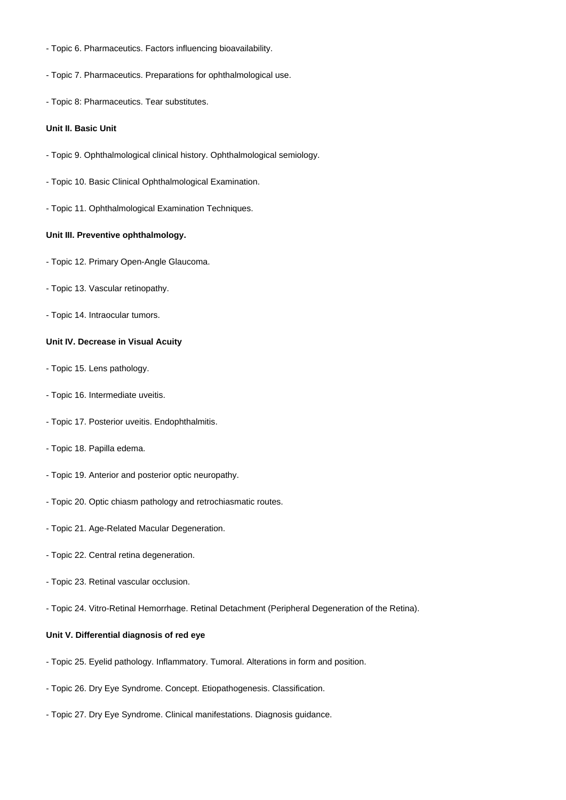- Topic 6. Pharmaceutics. Factors influencing bioavailability.
- Topic 7. Pharmaceutics. Preparations for ophthalmological use.

- Topic 5. Pharmacodynamics. Pharmacological interactions. Synergies and antagonisms.

- Topic 8: Pharmaceutics. Tear substitutes.

#### **Unit II. Basic Unit**

- Topic 9. Ophthalmological clinical history. Ophthalmological semiology.
- Topic 10. Basic Clinical Ophthalmological Examination.
- Topic 11. Ophthalmological Examination Techniques.

#### **Unit III. Preventive ophthalmology.**

- Topic 12. Primary Open-Angle Glaucoma.
- Topic 13. Vascular retinopathy.
- Topic 14. Intraocular tumors.

#### **Unit IV. Decrease in Visual Acuity**

- Topic 15. Lens pathology.
- Topic 16. Intermediate uveitis.
- Topic 17. Posterior uveitis. Endophthalmitis.
- Topic 18. Papilla edema.
- Topic 19. Anterior and posterior optic neuropathy.
- Topic 20. Optic chiasm pathology and retrochiasmatic routes.
- Topic 21. Age-Related Macular Degeneration.
- Topic 22. Central retina degeneration.
- Topic 23. Retinal vascular occlusion.
- Topic 24. Vitro-Retinal Hemorrhage. Retinal Detachment (Peripheral Degeneration of the Retina).

#### **Unit V. Differential diagnosis of red eye**

- Topic 25. Eyelid pathology. Inflammatory. Tumoral. Alterations in form and position.
- Topic 26. Dry Eye Syndrome. Concept. Etiopathogenesis. Classification.
- Topic 27. Dry Eye Syndrome. Clinical manifestations. Diagnosis guidance.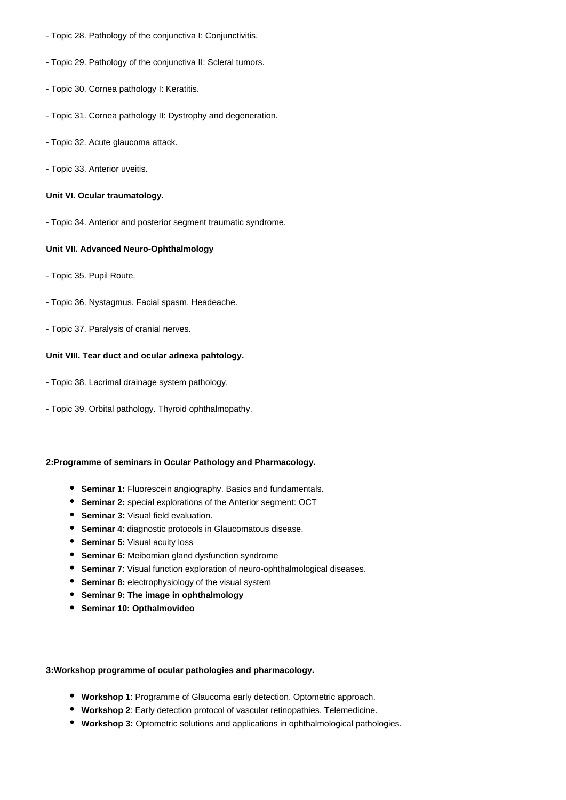- Topic 28. Pathology of the conjunctiva I: Conjunctivitis.
- Topic 29. Pathology of the conjunctiva II: Scleral tumors.
- Topic 30. Cornea pathology I: Keratitis.
- Topic 31. Cornea pathology II: Dystrophy and degeneration.
- Topic 32. Acute glaucoma attack.
- Topic 33. Anterior uveitis.

#### **Unit VI. Ocular traumatology.**

- Topic 34. Anterior and posterior segment traumatic syndrome.

#### **Unit VII. Advanced Neuro-Ophthalmology**

- Topic 35. Pupil Route.
- Topic 36. Nystagmus. Facial spasm. Headeache.
- Topic 37. Paralysis of cranial nerves.

#### **Unit VIII. Tear duct and ocular adnexa pahtology.**

- Topic 38. Lacrimal drainage system pathology.
- Topic 39. Orbital pathology. Thyroid ophthalmopathy.

#### **2:Programme of seminars in Ocular Pathology and Pharmacology.**

- **Seminar 1:** Fluorescein angiography. Basics and fundamentals.
- **Seminar 2:** special explorations of the Anterior segment: OCT
- **Seminar 3: Visual field evaluation.**
- **Seminar 4**: diagnostic protocols in Glaucomatous disease.
- **Seminar 5:** Visual acuity loss
- **Seminar 6:** Meibomian gland dysfunction syndrome
- **Seminar 7**: Visual function exploration of neuro-ophthalmological diseases.
- **Seminar 8:** electrophysiology of the visual system
- **Seminar 9: The image in ophthalmology**
- **Seminar 10: Opthalmovideo**

#### **3:Workshop programme of ocular pathologies and pharmacology.**

- **Workshop 1**: Programme of Glaucoma early detection. Optometric approach.
- **Workshop 2**: Early detection protocol of vascular retinopathies. Telemedicine.
- **Workshop 3:** Optometric solutions and applications in ophthalmological pathologies.